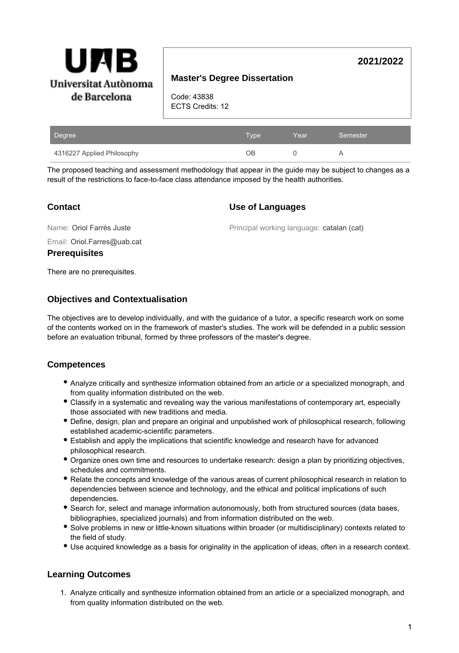

# **Master's Degree Dissertation**

Code: 43838 ECTS Credits: 12

| Degree                     | <b>Type</b> | Year | Semester |
|----------------------------|-------------|------|----------|
| 4316227 Applied Philosophy | OВ          |      |          |

The proposed teaching and assessment methodology that appear in the guide may be subject to changes as a result of the restrictions to face-to-face class attendance imposed by the health authorities.

## **Contact**

### **Use of Languages**

Name: Oriol Farrés Juste

Principal working language: catalan (cat)

**2021/2022**

Email: Oriol.Farres@uab.cat

**Prerequisites**

There are no prerequisites.

## **Objectives and Contextualisation**

The objectives are to develop individually, and with the guidance of a tutor, a specific research work on some of the contents worked on in the framework of master's studies. The work will be defended in a public session before an evaluation tribunal, formed by three professors of the master's degree.

# **Competences**

- Analyze critically and synthesize information obtained from an article or a specialized monograph, and from quality information distributed on the web.
- Classify in a systematic and revealing way the various manifestations of contemporary art, especially those associated with new traditions and media.
- Define, design, plan and prepare an original and unpublished work of philosophical research, following established academic-scientific parameters.
- Establish and apply the implications that scientific knowledge and research have for advanced philosophical research.
- Organize ones own time and resources to undertake research: design a plan by prioritizing objectives, schedules and commitments.
- Relate the concepts and knowledge of the various areas of current philosophical research in relation to dependencies between science and technology, and the ethical and political implications of such dependencies.
- Search for, select and manage information autonomously, both from structured sources (data bases, bibliographies, specialized journals) and from information distributed on the web.
- Solve problems in new or little-known situations within broader (or multidisciplinary) contexts related to the field of study.
- Use acquired knowledge as a basis for originality in the application of ideas, often in a research context.

# **Learning Outcomes**

1. Analyze critically and synthesize information obtained from an article or a specialized monograph, and from quality information distributed on the web.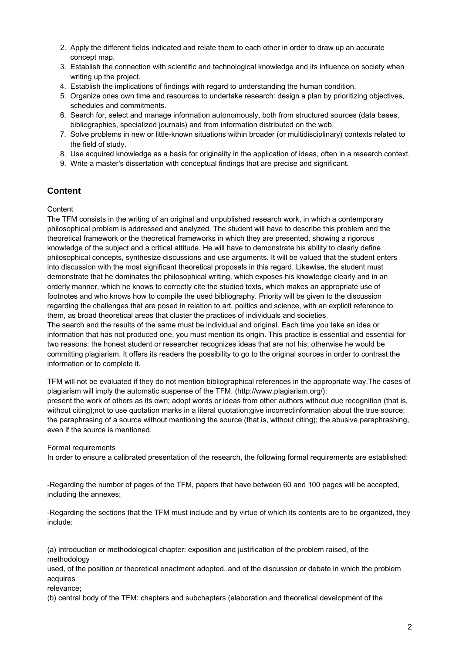- 2. Apply the different fields indicated and relate them to each other in order to draw up an accurate concept map.
- 3. Establish the connection with scientific and technological knowledge and its influence on society when writing up the project.
- 4. Establish the implications of findings with regard to understanding the human condition.
- 5. Organize ones own time and resources to undertake research: design a plan by prioritizing objectives, schedules and commitments.
- 6. Search for, select and manage information autonomously, both from structured sources (data bases, bibliographies, specialized journals) and from information distributed on the web.
- 7. Solve problems in new or little-known situations within broader (or multidisciplinary) contexts related to the field of study.
- 8. Use acquired knowledge as a basis for originality in the application of ideas, often in a research context.
- 9. Write a master's dissertation with conceptual findings that are precise and significant.

# **Content**

#### **Content**

The TFM consists in the writing of an original and unpublished research work, in which a contemporary philosophical problem is addressed and analyzed. The student will have to describe this problem and the theoretical framework or the theoretical frameworks in which they are presented, showing a rigorous knowledge of the subject and a critical attitude. He will have to demonstrate his ability to clearly define philosophical concepts, synthesize discussions and use arguments. It will be valued that the student enters into discussion with the most significant theoretical proposals in this regard. Likewise, the student must demonstrate that he dominates the philosophical writing, which exposes his knowledge clearly and in an orderly manner, which he knows to correctly cite the studied texts, which makes an appropriate use of footnotes and who knows how to compile the used bibliography. Priority will be given to the discussion regarding the challenges that are posed in relation to art, politics and science, with an explicit reference to them, as broad theoretical areas that cluster the practices of individuals and societies.

The search and the results of the same must be individual and original. Each time you take an idea or information that has not produced one, you must mention its origin. This practice is essential and essential for two reasons: the honest student or researcher recognizes ideas that are not his; otherwise he would be committing plagiarism. It offers its readers the possibility to go to the original sources in order to contrast the information or to complete it.

TFM will not be evaluated if they do not mention bibliographical references in the appropriate way.The cases of plagiarism will imply the automatic suspense of the TFM. (http://www.plagiarism.org/): present the work of others as its own; adopt words or ideas from other authors without due recognition (that is, without citing);not to use quotation marks in a literal quotation;give incorrectinformation about the true source; the paraphrasing of a source without mentioning the source (that is, without citing); the abusive paraphrashing, even if the source is mentioned.

Formal requirements

In order to ensure a calibrated presentation of the research, the following formal requirements are established:

-Regarding the number of pages of the TFM, papers that have between 60 and 100 pages will be accepted, including the annexes;

-Regarding the sections that the TFM must include and by virtue of which its contents are to be organized, they include:

(a) introduction or methodological chapter: exposition and justification of the problem raised, of the methodology

used, of the position or theoretical enactment adopted, and of the discussion or debate in which the problem acquires

relevance;

(b) central body of the TFM: chapters and subchapters (elaboration and theoretical development of the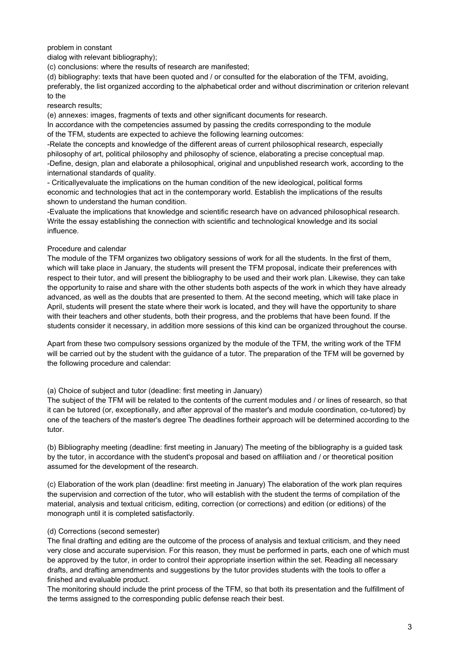#### problem in constant

dialog with relevant bibliography);

(c) conclusions: where the results of research are manifested;

(d) bibliography: texts that have been quoted and / or consulted for the elaboration of the TFM, avoiding, preferably, the list organized according to the alphabetical order and without discrimination or criterion relevant to the

#### research results;

(e) annexes: images, fragments of texts and other significant documents for research.

In accordance with the competencies assumed by passing the credits corresponding to the module of the TFM, students are expected to achieve the following learning outcomes:

-Relate the concepts and knowledge of the different areas of current philosophical research, especially philosophy of art, political philosophy and philosophy of science, elaborating a precise conceptual map. -Define, design, plan and elaborate a philosophical, original and unpublished research work, according to the international standards of quality.

- Criticallyevaluate the implications on the human condition of the new ideological, political forms economic and technologies that act in the contemporary world. Establish the implications of the results shown to understand the human condition.

-Evaluate the implications that knowledge and scientific research have on advanced philosophical research. Write the essay establishing the connection with scientific and technological knowledge and its social influence.

#### Procedure and calendar

The module of the TFM organizes two obligatory sessions of work for all the students. In the first of them, which will take place in January, the students will present the TFM proposal, indicate their preferences with respect to their tutor, and will present the bibliography to be used and their work plan. Likewise, they can take the opportunity to raise and share with the other students both aspects of the work in which they have already advanced, as well as the doubts that are presented to them. At the second meeting, which will take place in April, students will present the state where their work is located, and they will have the opportunity to share with their teachers and other students, both their progress, and the problems that have been found. If the students consider it necessary, in addition more sessions of this kind can be organized throughout the course.

Apart from these two compulsory sessions organized by the module of the TFM, the writing work of the TFM will be carried out by the student with the guidance of a tutor. The preparation of the TFM will be governed by the following procedure and calendar:

#### (a) Choice of subject and tutor (deadline: first meeting in January)

The subject of the TFM will be related to the contents of the current modules and / or lines of research, so that it can be tutored (or, exceptionally, and after approval of the master's and module coordination, co-tutored) by one of the teachers of the master's degree The deadlines fortheir approach will be determined according to the tutor.

(b) Bibliography meeting (deadline: first meeting in January) The meeting of the bibliography is a guided task by the tutor, in accordance with the student's proposal and based on affiliation and / or theoretical position assumed for the development of the research.

(c) Elaboration of the work plan (deadline: first meeting in January) The elaboration of the work plan requires the supervision and correction of the tutor, who will establish with the student the terms of compilation of the material, analysis and textual criticism, editing, correction (or corrections) and edition (or editions) of the monograph until it is completed satisfactorily.

#### (d) Corrections (second semester)

The final drafting and editing are the outcome of the process of analysis and textual criticism, and they need very close and accurate supervision. For this reason, they must be performed in parts, each one of which must be approved by the tutor, in order to control their appropriate insertion within the set. Reading all necessary drafts, and drafting amendments and suggestions by the tutor provides students with the tools to offer a finished and evaluable product.

The monitoring should include the print process of the TFM, so that both its presentation and the fulfillment of the terms assigned to the corresponding public defense reach their best.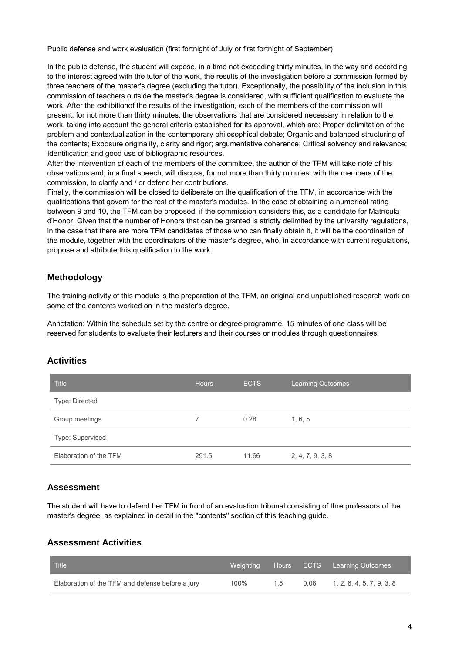Public defense and work evaluation (first fortnight of July or first fortnight of September)

In the public defense, the student will expose, in a time not exceeding thirty minutes, in the way and according to the interest agreed with the tutor of the work, the results of the investigation before a commission formed by three teachers of the master's degree (excluding the tutor). Exceptionally, the possibility of the inclusion in this commission of teachers outside the master's degree is considered, with sufficient qualification to evaluate the work. After the exhibitionof the results of the investigation, each of the members of the commission will present, for not more than thirty minutes, the observations that are considered necessary in relation to the work, taking into account the general criteria established for its approval, which are: Proper delimitation of the problem and contextualization in the contemporary philosophical debate; Organic and balanced structuring of the contents; Exposure originality, clarity and rigor; argumentative coherence; Critical solvency and relevance; Identification and good use of bibliographic resources.

After the intervention of each of the members of the committee, the author of the TFM will take note of his observations and, in a final speech, will discuss, for not more than thirty minutes, with the members of the commission, to clarify and / or defend her contributions.

Finally, the commission will be closed to deliberate on the qualification of the TFM, in accordance with the qualifications that govern for the rest of the master's modules. In the case of obtaining a numerical rating between 9 and 10, the TFM can be proposed, if the commission considers this, as a candidate for Matrícula d'Honor. Given that the number of Honors that can be granted is strictly delimited by the university regulations, in the case that there are more TFM candidates of those who can finally obtain it, it will be the coordination of the module, together with the coordinators of the master's degree, who, in accordance with current regulations, propose and attribute this qualification to the work.

# **Methodology**

The training activity of this module is the preparation of the TFM, an original and unpublished research work on some of the contents worked on in the master's degree.

Annotation: Within the schedule set by the centre or degree programme, 15 minutes of one class will be reserved for students to evaluate their lecturers and their courses or modules through questionnaires.

## **Activities**

| <b>Title</b>           | <b>Hours</b> | <b>ECTS</b> | <b>Learning Outcomes</b> |
|------------------------|--------------|-------------|--------------------------|
| Type: Directed         |              |             |                          |
| Group meetings         |              | 0.28        | 1, 6, 5                  |
| Type: Supervised       |              |             |                          |
| Elaboration of the TFM | 291.5        | 11.66       | 2, 4, 7, 9, 3, 8         |

# **Assessment**

The student will have to defend her TFM in front of an evaluation tribunal consisting of thre professors of the master's degree, as explained in detail in the "contents" section of this teaching guide.

## **Assessment Activities**

| Title                                            |      |    | Weighting Hours ECTS Learning Outcomes |
|--------------------------------------------------|------|----|----------------------------------------|
| Elaboration of the TFM and defense before a jury | 100% | 15 | $0.06$ 1, 2, 6, 4, 5, 7, 9, 3, 8       |